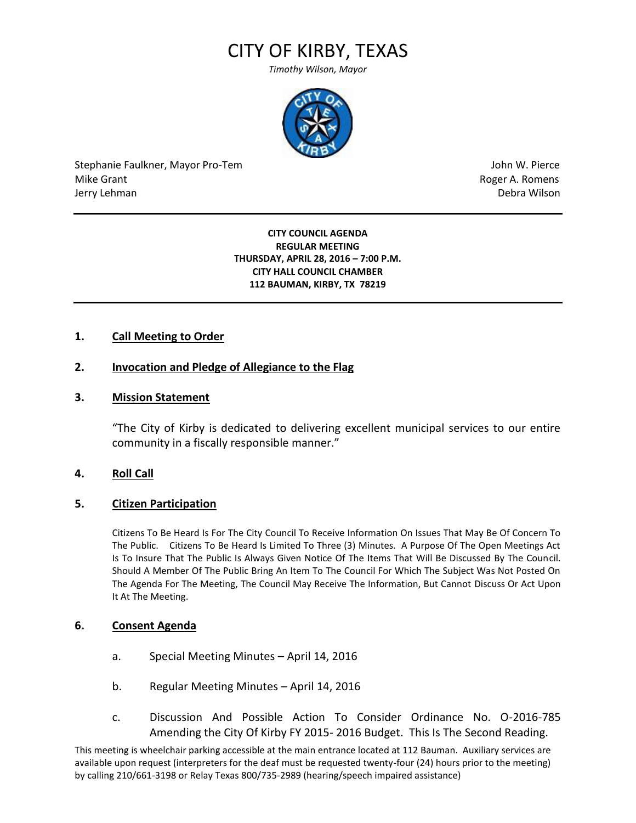# CITY OF KIRBY, TEXAS

*Timothy Wilson, Mayor*



Stephanie Faulkner, Mayor Pro-Tem John W. Pierce Mike Grant **Mike Grant** Roger A. Romens **Contract A. Romens Roger A. Romens** Jerry Lehman Debra Wilson

**CITY COUNCIL AGENDA REGULAR MEETING THURSDAY, APRIL 28, 2016 – 7:00 P.M. CITY HALL COUNCIL CHAMBER 112 BAUMAN, KIRBY, TX 78219**

# **1. Call Meeting to Order**

# **2. Invocation and Pledge of Allegiance to the Flag**

## **3. Mission Statement**

"The City of Kirby is dedicated to delivering excellent municipal services to our entire community in a fiscally responsible manner."

# **4. Roll Call**

#### **5. Citizen Participation**

Citizens To Be Heard Is For The City Council To Receive Information On Issues That May Be Of Concern To The Public. Citizens To Be Heard Is Limited To Three (3) Minutes. A Purpose Of The Open Meetings Act Is To Insure That The Public Is Always Given Notice Of The Items That Will Be Discussed By The Council. Should A Member Of The Public Bring An Item To The Council For Which The Subject Was Not Posted On The Agenda For The Meeting, The Council May Receive The Information, But Cannot Discuss Or Act Upon It At The Meeting.

#### **6. Consent Agenda**

- a. Special Meeting Minutes April 14, 2016
- b. Regular Meeting Minutes April 14, 2016
- c. Discussion And Possible Action To Consider Ordinance No. O-2016-785 Amending the City Of Kirby FY 2015- 2016 Budget. This Is The Second Reading.

This meeting is wheelchair parking accessible at the main entrance located at 112 Bauman. Auxiliary services are available upon request (interpreters for the deaf must be requested twenty-four (24) hours prior to the meeting) by calling 210/661-3198 or Relay Texas 800/735-2989 (hearing/speech impaired assistance)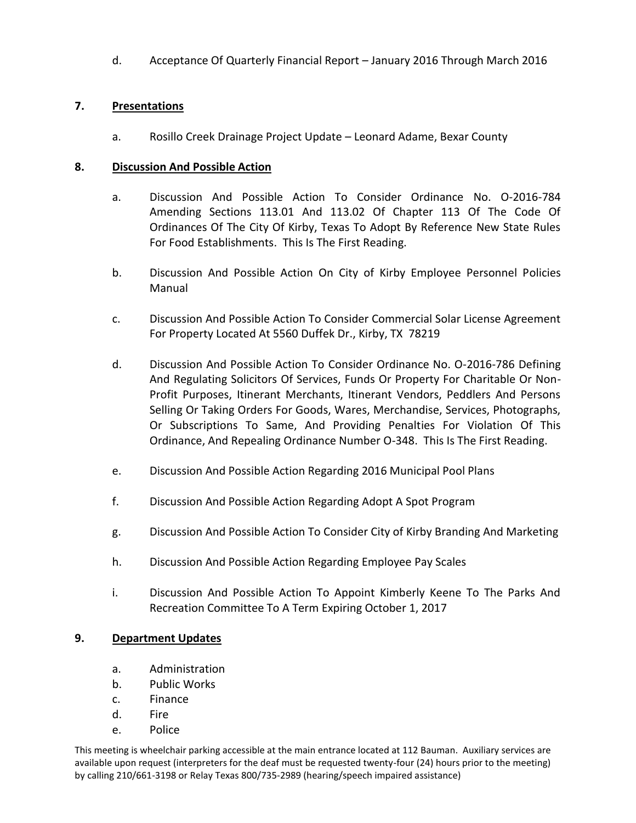d. Acceptance Of Quarterly Financial Report – January 2016 Through March 2016

# **7. Presentations**

a. Rosillo Creek Drainage Project Update – Leonard Adame, Bexar County

# **8. Discussion And Possible Action**

- a. Discussion And Possible Action To Consider Ordinance No. O-2016-784 Amending Sections 113.01 And 113.02 Of Chapter 113 Of The Code Of Ordinances Of The City Of Kirby, Texas To Adopt By Reference New State Rules For Food Establishments. This Is The First Reading.
- b. Discussion And Possible Action On City of Kirby Employee Personnel Policies Manual
- c. Discussion And Possible Action To Consider Commercial Solar License Agreement For Property Located At 5560 Duffek Dr., Kirby, TX 78219
- d. Discussion And Possible Action To Consider Ordinance No. O-2016-786 Defining And Regulating Solicitors Of Services, Funds Or Property For Charitable Or Non-Profit Purposes, Itinerant Merchants, Itinerant Vendors, Peddlers And Persons Selling Or Taking Orders For Goods, Wares, Merchandise, Services, Photographs, Or Subscriptions To Same, And Providing Penalties For Violation Of This Ordinance, And Repealing Ordinance Number O-348. This Is The First Reading.
- e. Discussion And Possible Action Regarding 2016 Municipal Pool Plans
- f. Discussion And Possible Action Regarding Adopt A Spot Program
- g. Discussion And Possible Action To Consider City of Kirby Branding And Marketing
- h. Discussion And Possible Action Regarding Employee Pay Scales
- i. Discussion And Possible Action To Appoint Kimberly Keene To The Parks And Recreation Committee To A Term Expiring October 1, 2017

# **9. Department Updates**

- a. Administration
- b. Public Works
- c. Finance
- d. Fire
- e. Police

This meeting is wheelchair parking accessible at the main entrance located at 112 Bauman. Auxiliary services are available upon request (interpreters for the deaf must be requested twenty-four (24) hours prior to the meeting) by calling 210/661-3198 or Relay Texas 800/735-2989 (hearing/speech impaired assistance)